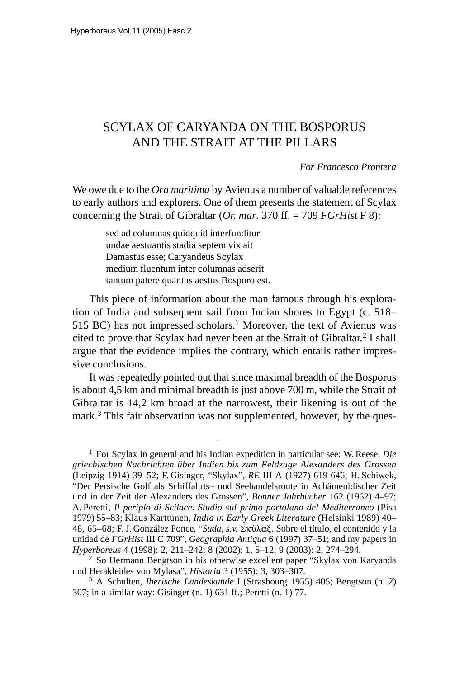## SCYLAX OF CARYANDA ON THE BOSPORUS AND THE STRAIT AT THE PILLARS

*For Francesco Prontera*

We owe due to the *Ora maritima* by Avienus a number of valuable references to early authors and explorers. One of them presents the statement of Scylax concerning the Strait of Gibraltar (*Or. mar*. 370 ff. = 709 *FGrHist* F 8):

> sed ad columnas quidquid interfunditur undae aestuantis stadia septem vix ait Damastus esse; Caryandeus Scylax medium fluentum inter columnas adserit tantum patere quantus aestus Bosporo est.

This piece of information about the man famous through his exploration of India and subsequent sail from Indian shores to Egypt (c. 518– 515 BC) has not impressed scholars.<sup>1</sup> Moreover, the text of Avienus was cited to prove that Scylax had never been at the Strait of Gibraltar.<sup>2</sup> I shall argue that the evidence implies the contrary, which entails rather impressive conclusions.

It was repeatedly pointed out that since maximal breadth of the Bosporus is about 4,5 km and minimal breadth is just above 700 m, while the Strait of Gibraltar is 14,2 km broad at the narrowest, their likening is out of the mark.<sup>3</sup> This fair observation was not supplemented, however, by the ques-

<sup>1</sup> For Scylax in general and his Indian expedition in particular see: W. Reese, *Die griechischen Nachrichten über Indien bis zum Feldzuge Alexanders des Grossen* (Leipzig 1914) 39–52; F. Gisinger, "Skylax", *RE* III A (1927) 619-646; H. Schiwek, "Der Persische Golf als Schiffahrts– und Seehandelsroute in Achämenidischer Zeit und in der Zeit der Alexanders des Grossen", *Bonner Jahrbücher* 162 (1962) 4–97; A. Peretti, *Il periplo di Scilace. Studio sul primo portolano del Mediterraneo* (Pisa 1979) 55–83; Klaus Karttunen, *India in Early Greek Literature* (Helsinki 1989) 40– 48, 65–68; F.J. González Ponce, "Suda, s.v. Σκύλαξ. Sobre el título, el contenido y la unidad de *FGrHist* III C 709", *Geographia Antiqua* 6 (1997) 37–51; and my papers in *Hyperboreus* 4 (1998): 2, 211–242; 8 (2002): 1, 5–12; 9 (2003): 2, 274–294.

<sup>2</sup> So Hermann Bengtson in his otherwise excellent paper "Skylax von Karyanda und Herakleides von Mylasa", *Historia* 3 (1955): 3, 303–307.

<sup>3</sup> A. Schulten, *Iberische Landeskunde* I (Strasbourg 1955) 405; Bengtson (n. 2) 307; in a similar way: Gisinger (n. 1) 631 ff.; Peretti (n. 1) 77.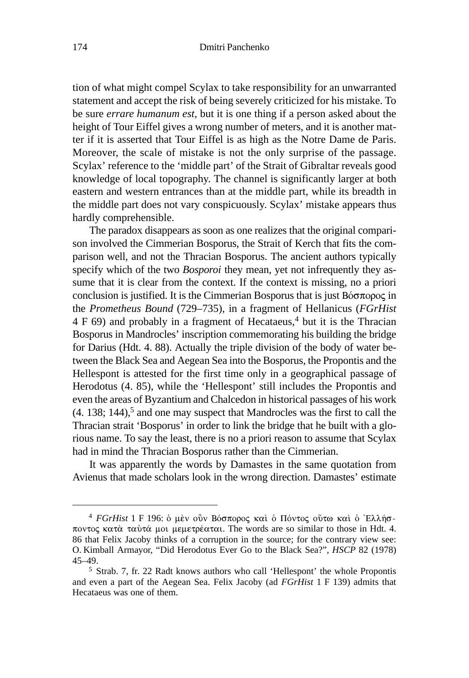tion of what might compel Scylax to take responsibility for an unwarranted statement and accept the risk of being severely criticized for his mistake. To be sure *errare humanum est*, but it is one thing if a person asked about the height of Tour Eiffel gives a wrong number of meters, and it is another matter if it is asserted that Tour Eiffel is as high as the Notre Dame de Paris. Moreover, the scale of mistake is not the only surprise of the passage. Scylax' reference to the 'middle part' of the Strait of Gibraltar reveals good knowledge of local topography. The channel is significantly larger at both eastern and western entrances than at the middle part, while its breadth in the middle part does not vary conspicuously. Scylax' mistake appears thus hardly comprehensible.

The paradox disappears as soon as one realizes that the original comparison involved the Cimmerian Bosporus, the Strait of Kerch that fits the comparison well, and not the Thracian Bosporus. The ancient authors typically specify which of the two *Bosporoi* they mean, yet not infrequently they assume that it is clear from the context. If the context is missing, no a priori conclusion is justified. It is the Cimmerian Bosporus that is just  $\text{Bóot} \pi \text{op}$ the *Prometheus Bound* (729–735), in a fragment of Hellanicus (*FGrHist*  $4 F 69$ ) and probably in a fragment of Hecataeus,<sup>4</sup> but it is the Thracian Bosporus in Mandrocles' inscription commemorating his building the bridge for Darius (Hdt. 4. 88). Actually the triple division of the body of water between the Black Sea and Aegean Sea into the Bosporus, the Propontis and the Hellespont is attested for the first time only in a geographical passage of Herodotus (4. 85), while the 'Hellespont' still includes the Propontis and even the areas of Byzantium and Chalcedon in historical passages of his work  $(4. 138; 144)$ <sup>5</sup> and one may suspect that Mandrocles was the first to call the Thracian strait 'Bosporus' in order to link the bridge that he built with a glorious name. To say the least, there is no a priori reason to assume that Scylax had in mind the Thracian Bosporus rather than the Cimmerian.

It was apparently the words by Damastes in the same quotation from Avienus that made scholars look in the wrong direction. Damastes' estimate

<sup>&</sup>lt;sup>4</sup> FGrHist 1 F 196: ο μεν ούν Βόσπορος και ο Πόντος ούτω και ο Έλλήσποντος κατὰ ταὐτά μοι μεμετρέαται. The words are so similar to those in Hdt. 4. 86 that Felix Jacoby thinks of a corruption in the source; for the contrary view see: O. Kimball Armayor, "Did Herodotus Ever Go to the Black Sea?", *HSCP* 82 (1978) 45–49.

<sup>5</sup> Strab. 7, fr. 22 Radt knows authors who call 'Hellespont' the whole Propontis and even a part of the Aegean Sea. Felix Jacoby (ad *FGrHist* 1 F 139) admits that Hecataeus was one of them.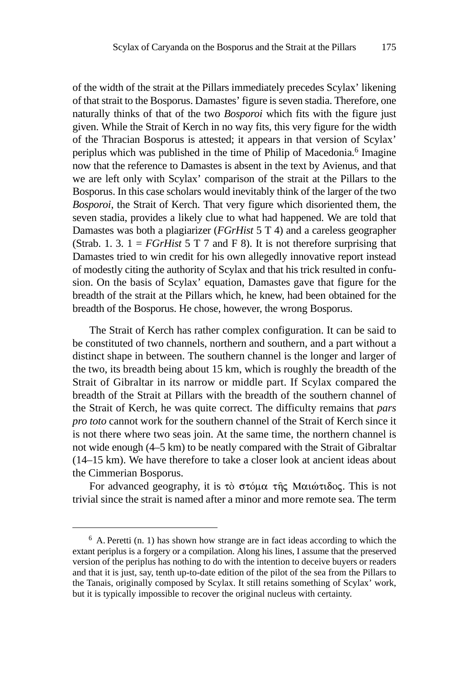of the width of the strait at the Pillars immediately precedes Scylax' likening of that strait to the Bosporus. Damastes' figure is seven stadia. Therefore, one naturally thinks of that of the two *Bosporoi* which fits with the figure just given. While the Strait of Kerch in no way fits, this very figure for the width of the Thracian Bosporus is attested; it appears in that version of Scylax' periplus which was published in the time of Philip of Macedonia.6 Imagine now that the reference to Damastes is absent in the text by Avienus, and that we are left only with Scylax' comparison of the strait at the Pillars to the Bosporus. In this case scholars would inevitably think of the larger of the two *Bosporoi*, the Strait of Kerch. That very figure which disoriented them, the seven stadia, provides a likely clue to what had happened. We are told that Damastes was both a plagiarizer (*FGrHist* 5 T 4) and a careless geographer (Strab. 1. 3.  $1 = FGrHist 5 T 7$  and F 8). It is not therefore surprising that Damastes tried to win credit for his own allegedly innovative report instead of modestly citing the authority of Scylax and that his trick resulted in confusion. On the basis of Scylax' equation, Damastes gave that figure for the breadth of the strait at the Pillars which, he knew, had been obtained for the breadth of the Bosporus. He chose, however, the wrong Bosporus.

The Strait of Kerch has rather complex configuration. It can be said to be constituted of two channels, northern and southern, and a part without a distinct shape in between. The southern channel is the longer and larger of the two, its breadth being about 15 km, which is roughly the breadth of the Strait of Gibraltar in its narrow or middle part. If Scylax compared the breadth of the Strait at Pillars with the breadth of the southern channel of the Strait of Kerch, he was quite correct. The difficulty remains that *pars pro toto* cannot work for the southern channel of the Strait of Kerch since it is not there where two seas join. At the same time, the northern channel is not wide enough (4–5 km) to be neatly compared with the Strait of Gibraltar (14–15 km). We have therefore to take a closer look at ancient ideas about the Cimmerian Bosporus.

For advanced geography, it is τὸ στόμα της Μαιώτιδος. This is not trivial since the strait is named after a minor and more remote sea. The term

 $6$  A. Peretti (n. 1) has shown how strange are in fact ideas according to which the extant periplus is a forgery or a compilation. Along his lines, I assume that the preserved version of the periplus has nothing to do with the intention to deceive buyers or readers and that it is just, say, tenth up-to-date edition of the pilot of the sea from the Pillars to the Tanais, originally composed by Scylax. It still retains something of Scylax' work, but it is typically impossible to recover the original nucleus with certainty.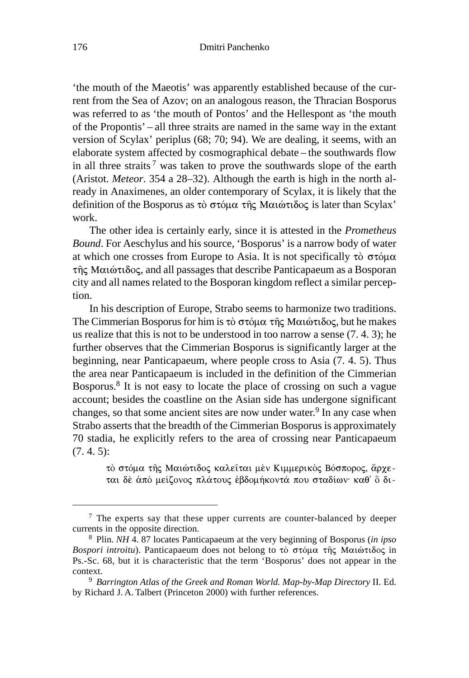'the mouth of the Maeotis' was apparently established because of the current from the Sea of Azov; on an analogous reason, the Thracian Bosporus was referred to as 'the mouth of Pontos' and the Hellespont as 'the mouth of the Propontis' – all three straits are named in the same way in the extant version of Scylax' periplus (68; 70; 94). We are dealing, it seems, with an elaborate system affected by cosmographical debate – the southwards flow in all three straits<sup>7</sup> was taken to prove the southwards slope of the earth (Aristot. *Meteor*. 354 a 28–32). Although the earth is high in the north already in Anaximenes, an older contemporary of Scylax, it is likely that the definition of the Bosporus as τὸ στόμα τῆς Μαιώτιδος is later than Scylax' work.

The other idea is certainly early, since it is attested in the *Prometheus Bound*. For Aeschylus and his source, 'Bosporus' is a narrow body of water at which one crosses from Europe to Asia. It is not specifically  $\tau\dot{o}$   $\sigma\tau\dot{o}\mu\alpha$ της Μαιώτιδος, and all passages that describe Panticapaeum as a Bosporan city and all names related to the Bosporan kingdom reflect a similar perception.

In his description of Europe, Strabo seems to harmonize two traditions. The Cimmerian Bosporus for him is  $\tau \delta \sigma \tau \delta \mu \alpha \tau \hat{\eta} \varsigma$  Μαιώτιδος, but he makes us realize that this is not to be understood in too narrow a sense (7. 4. 3); he further observes that the Cimmerian Bosporus is significantly larger at the beginning, near Panticapaeum, where people cross to Asia (7. 4. 5). Thus the area near Panticapaeum is included in the definition of the Cimmerian Bosporus.8 It is not easy to locate the place of crossing on such a vague account; besides the coastline on the Asian side has undergone significant changes, so that some ancient sites are now under water.<sup>9</sup> In any case when Strabo asserts that the breadth of the Cimmerian Bosporus is approximately 70 stadia, he explicitly refers to the area of crossing near Panticapaeum (7. 4. 5):

> τὸ στόμα τῆς Μαιώτιδος καλεῖται μὲν Κιμμερικὸς Βόσπορος, ἄρχεται δὲ ἀπὸ μείζονος πλάτους ἑβδομήκοντά που σταδίων· καθ' ὃ δι-

<sup>&</sup>lt;sup>7</sup> The experts say that these upper currents are counter-balanced by deeper currents in the opposite direction.

<sup>8</sup> Plin. *NH* 4. 87 locates Panticapaeum at the very beginning of Bosporus (*in ipso* Bospori introitu). Panticapaeum does not belong to τὸ στόμα τῆς Μαιώτιδος in Ps.-Sc. 68, but it is characteristic that the term 'Bosporus' does not appear in the context.

<sup>9</sup> *Barrington Atlas of the Greek and Roman World. Map-by-Map Directory* II. Ed. by Richard J. A. Talbert (Princeton 2000) with further references.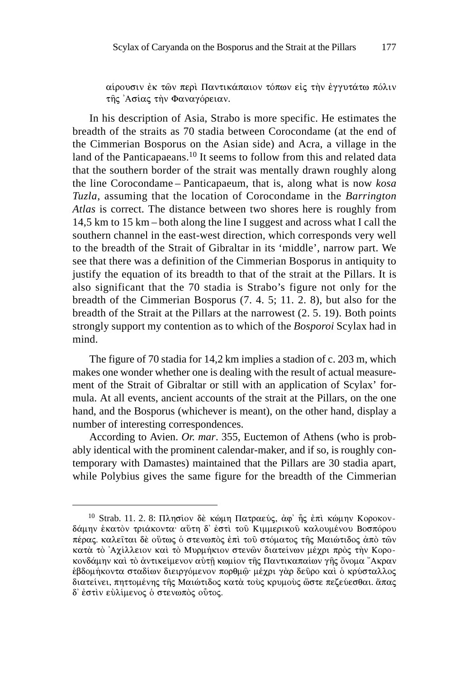αίρουσιν ἐκ τῶν περὶ Παντικάπαιον τόπων εἰς τὴν ἐγγυτάτω πόλιν της Ασίας την Φαναγόρειαν.

In his description of Asia, Strabo is more specific. He estimates the breadth of the straits as 70 stadia between Corocondame (at the end of the Cimmerian Bosporus on the Asian side) and Acra, a village in the land of the Panticapaeans.<sup>10</sup> It seems to follow from this and related data that the southern border of the strait was mentally drawn roughly along the line Corocondame – Panticapaeum, that is, along what is now *kosa Tuzla*, assuming that the location of Corocondame in the *Barrington Atlas* is correct. The distance between two shores here is roughly from 14,5 km to 15 km – both along the line I suggest and across what I call the southern channel in the east-west direction, which corresponds very well to the breadth of the Strait of Gibraltar in its 'middle', narrow part. We see that there was a definition of the Cimmerian Bosporus in antiquity to justify the equation of its breadth to that of the strait at the Pillars. It is also significant that the 70 stadia is Strabo's figure not only for the breadth of the Cimmerian Bosporus (7. 4. 5; 11. 2. 8), but also for the breadth of the Strait at the Pillars at the narrowest (2. 5. 19). Both points strongly support my contention as to which of the *Bosporoi* Scylax had in mind.

The figure of 70 stadia for 14,2 km implies a stadion of c. 203 m, which makes one wonder whether one is dealing with the result of actual measurement of the Strait of Gibraltar or still with an application of Scylax' formula. At all events, ancient accounts of the strait at the Pillars, on the one hand, and the Bosporus (whichever is meant), on the other hand, display a number of interesting correspondences.

According to Avien. *Or. mar*. 355, Euctemon of Athens (who is probably identical with the prominent calendar-maker, and if so, is roughly contemporary with Damastes) maintained that the Pillars are 30 stadia apart, while Polybius gives the same figure for the breadth of the Cimmerian

<sup>&</sup>lt;sup>10</sup> Strab. 11. 2. 8: Πλησίον δε κώμη Πατραεύς, άφ' η ς επι κώμην Κοροκονδάμην ἑκατὸν τριάκοντα· αὕτη δ' ἐστὶ τοῦ Κιμμερικοῦ καλουμένου Βοσπόρου πέρας. καλεῖται δὲ οὕτως ὁ στενωπὸς ἐπὶ τοῦ στόματος τῆς Μαιώτιδος ἀπὸ τῶν κατὰ τὸ Ἀχίλλειον καὶ τὸ Μυρμήκιον στενῶν διατείνων μέχρι πρὸς τὴν Κοροκονδάμην καὶ τὸ ἀντικείμενον αὐτῇ κωμίον τῆς Παντικαπαίων γῆς ὄνομα "Ακραν ἑβδομήκοντα σταδίων διειργόμενον πορθμῷ· μέχρι γὰρ δεῦρο καὶ ὁ κρύσταλλος διατείνει, πηττομένης τῆς Μαιώτιδος κατὰ τοὺς κρυμοὺς ὥστε πεζεύεσθαι. ἅπας δ' ἐστὶν εὐλίμενος ὁ στενωπὸς οὗτος.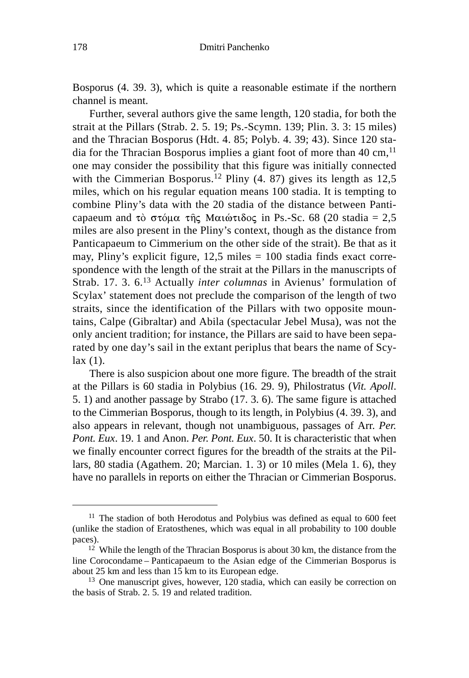Bosporus (4. 39. 3), which is quite a reasonable estimate if the northern channel is meant.

Further, several authors give the same length, 120 stadia, for both the strait at the Pillars (Strab. 2. 5. 19; Ps.-Scymn. 139; Plin. 3. 3: 15 miles) and the Thracian Bosporus (Hdt. 4. 85; Polyb. 4. 39; 43). Since 120 stadia for the Thracian Bosporus implies a giant foot of more than  $40 \text{ cm}$ ,  $^{11}$ one may consider the possibility that this figure was initially connected with the Cimmerian Bosporus.<sup>12</sup> Pliny  $(4, 87)$  gives its length as 12,5 miles, which on his regular equation means 100 stadia. It is tempting to combine Pliny's data with the 20 stadia of the distance between Panticapaeum and τὸ στόμα τῆς Μαιώτιδος in Ps.-Sc. 68 (20 stadia = 2,5 miles are also present in the Pliny's context, though as the distance from Panticapaeum to Cimmerium on the other side of the strait). Be that as it may, Pliny's explicit figure, 12,5 miles = 100 stadia finds exact correspondence with the length of the strait at the Pillars in the manuscripts of Strab. 17. 3. 6.13 Actually *inter columnas* in Avienus' formulation of Scylax' statement does not preclude the comparison of the length of two straits, since the identification of the Pillars with two opposite mountains, Calpe (Gibraltar) and Abila (spectacular Jebel Musa), was not the only ancient tradition; for instance, the Pillars are said to have been separated by one day's sail in the extant periplus that bears the name of Scy $lax(1)$ .

There is also suspicion about one more figure. The breadth of the strait at the Pillars is 60 stadia in Polybius (16. 29. 9), Philostratus (*Vit. Apoll*. 5. 1) and another passage by Strabo (17. 3. 6). The same figure is attached to the Cimmerian Bosporus, though to its length, in Polybius (4. 39. 3), and also appears in relevant, though not unambiguous, passages of Arr. *Per. Pont. Eux*. 19. 1 and Anon. *Per. Pont. Eux*. 50. It is characteristic that when we finally encounter correct figures for the breadth of the straits at the Pillars, 80 stadia (Agathem. 20; Marcian. 1. 3) or 10 miles (Mela 1. 6), they have no parallels in reports on either the Thracian or Cimmerian Bosporus.

<sup>&</sup>lt;sup>11</sup> The stadion of both Herodotus and Polybius was defined as equal to 600 feet (unlike the stadion of Eratosthenes, which was equal in all probability to 100 double paces).

<sup>&</sup>lt;sup>12</sup> While the length of the Thracian Bosporus is about 30 km, the distance from the line Corocondame – Panticapaeum to the Asian edge of the Cimmerian Bosporus is about 25 km and less than 15 km to its European edge.

<sup>&</sup>lt;sup>13</sup> One manuscript gives, however, 120 stadia, which can easily be correction on the basis of Strab. 2. 5. 19 and related tradition.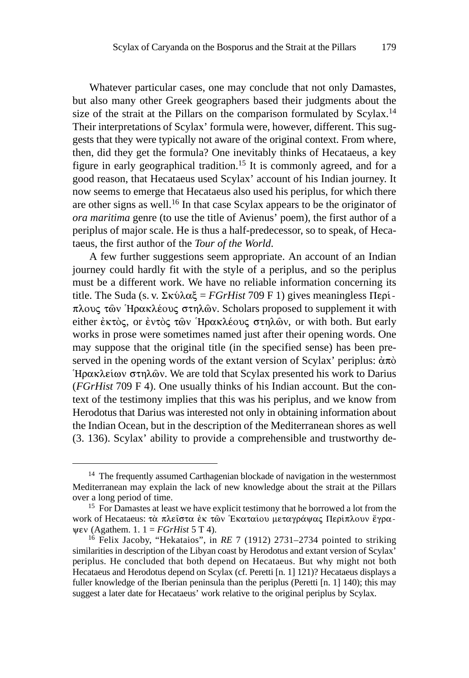Whatever particular cases, one may conclude that not only Damastes, but also many other Greek geographers based their judgments about the size of the strait at the Pillars on the comparison formulated by Scylax.<sup>14</sup> Their interpretations of Scylax' formula were, however, different. This suggests that they were typically not aware of the original context. From where, then, did they get the formula? One inevitably thinks of Hecataeus, a key figure in early geographical tradition.15 It is commonly agreed, and for a good reason, that Hecataeus used Scylax' account of his Indian journey. It now seems to emerge that Hecataeus also used his periplus, for which there are other signs as well.16 In that case Scylax appears to be the originator of *ora maritima* genre (to use the title of Avienus' poem), the first author of a periplus of major scale. He is thus a half-predecessor, so to speak, of Hecataeus, the first author of the *Tour of the World*.

A few further suggestions seem appropriate. An account of an Indian journey could hardly fit with the style of a periplus, and so the periplus must be a different work. We have no reliable information concerning its title. The Suda (s. v.  $\Sigma \kappa \acute{\omega} \lambda \alpha \xi = FGrHist$  709 F 1) gives meaningless  $\Pi \epsilon \rho \acute{\omega}$ . πλους τῶν Ἡρακλέους στηλῶν. Scholars proposed to supplement it with either ἐκτὸς, or ἐντὸς τῶν ʿΗρακλέους στηλῶν, or with both. But early works in prose were sometimes named just after their opening words. One may suppose that the original title (in the specified sense) has been preserved in the opening words of the extant version of Scylax' periplus:  $\dot{\alpha}\pi\dot{\alpha}$ 'Ηρακλείων στηλών. We are told that Scylax presented his work to Darius (*FGrHist* 709 F 4). One usually thinks of his Indian account. But the context of the testimony implies that this was his periplus, and we know from Herodotus that Darius was interested not only in obtaining information about the Indian Ocean, but in the description of the Mediterranean shores as well (3. 136). Scylax' ability to provide a comprehensible and trustworthy de-

<sup>&</sup>lt;sup>14</sup> The frequently assumed Carthagenian blockade of navigation in the westernmost Mediterranean may explain the lack of new knowledge about the strait at the Pillars over a long period of time.

<sup>&</sup>lt;sup>15</sup> For Damastes at least we have explicit testimony that he borrowed a lot from the work of Hecataeus: τὰ πλεῖστα ἐκ τῶν Ἑκαταίου μεταγράψας Περίπλουν ἔγρα- $\psi$ **EV** (Agathem. 1. 1 = *FGrHist* 5 T 4).

<sup>16</sup> Felix Jacoby, "Hekataios", in *RE* 7 (1912) 2731–2734 pointed to striking similarities in description of the Libyan coast by Herodotus and extant version of Scylax' periplus. He concluded that both depend on Hecataeus. But why might not both Hecataeus and Herodotus depend on Scylax (cf. Peretti [n. 1] 121)? Hecataeus displays a fuller knowledge of the Iberian peninsula than the periplus (Peretti [n. 1] 140); this may suggest a later date for Hecataeus' work relative to the original periplus by Scylax.